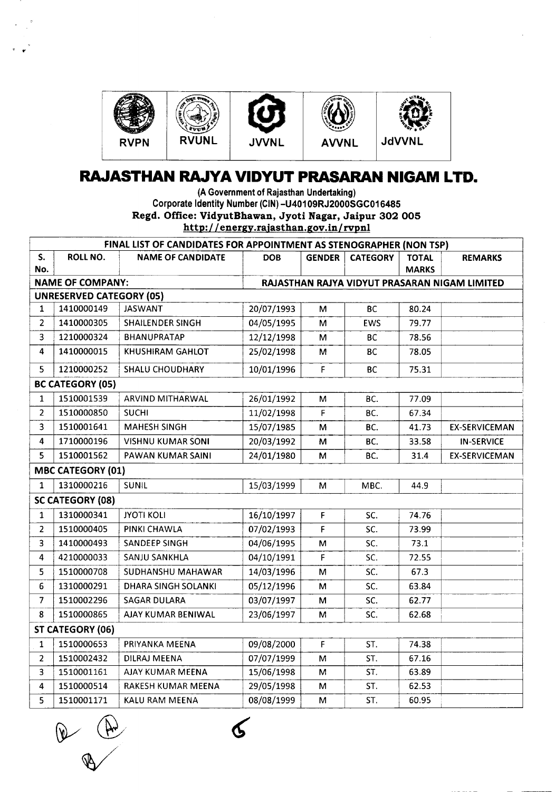

## **RAJASTHAN RAJYA VIDYUT PRASARAN NIGAM LTD.**

. . htt~· / / energy rajasthan gov *inl*rv~nl(A Government of Rajasthan Undertaking) Corporate Identity Number (CIN)-U401 09RJ2000SGC016485 Regd. Office: VidyutBhawan, Jyoti Nagar, Jaipur 302 005

| FINAL LIST OF CANDIDATES FOR APPOINTMENT AS STENOGRAPHER (NON TSP) |                                 |                          |                                               |               |                 |              |                      |  |  |
|--------------------------------------------------------------------|---------------------------------|--------------------------|-----------------------------------------------|---------------|-----------------|--------------|----------------------|--|--|
| S.                                                                 | ROLL NO.                        | <b>NAME OF CANDIDATE</b> | <b>DOB</b>                                    | <b>GENDER</b> | <b>CATEGORY</b> | <b>TOTAL</b> | <b>REMARKS</b>       |  |  |
| No.                                                                |                                 |                          |                                               |               |                 | <b>MARKS</b> |                      |  |  |
| <b>NAME OF COMPANY:</b>                                            |                                 |                          | RAJASTHAN RAJYA VIDYUT PRASARAN NIGAM LIMITED |               |                 |              |                      |  |  |
|                                                                    | <b>UNRESERVED CATEGORY (05)</b> |                          |                                               |               |                 |              |                      |  |  |
| $\mathbf{1}$                                                       | 1410000149                      | <b>JASWANT</b>           | 20/07/1993                                    | м             | <b>BC</b>       | 80.24        |                      |  |  |
| $\overline{2}$                                                     | 1410000305                      | <b>SHAILENDER SINGH</b>  | 04/05/1995                                    | M             | EWS             | 79.77        |                      |  |  |
| $\overline{\mathbf{3}}$                                            | 1210000324                      | BHANUPRATAP              | 12/12/1998                                    | M             | <b>BC</b>       | 78.56        |                      |  |  |
| 4                                                                  | 1410000015                      | KHUSHIRAM GAHLOT         | 25/02/1998                                    | м             | <b>BC</b>       | 78.05        |                      |  |  |
| 5                                                                  | 1210000252                      | <b>SHALU CHOUDHARY</b>   | 10/01/1996                                    | F             | <b>BC</b>       | 75.31        |                      |  |  |
| <b>BC CATEGORY (05)</b>                                            |                                 |                          |                                               |               |                 |              |                      |  |  |
| $\mathbf{1}$                                                       | 1510001539                      | ARVIND MITHARWAL         | 26/01/1992                                    | M             | BC.             | 77.09        |                      |  |  |
| $\overline{2}$                                                     | 1510000850                      | <b>SUCHI</b>             | 11/02/1998                                    | F             | BC.             | 67.34        |                      |  |  |
| $\overline{\mathbf{3}}$                                            | 1510001641                      | <b>MAHESH SINGH</b>      | 15/07/1985                                    | м             | BC.             | 41.73        | <b>EX-SERVICEMAN</b> |  |  |
| 4                                                                  | 1710000196                      | <b>VISHNU KUMAR SONI</b> | 20/03/1992                                    | M             | BC.             | 33.58        | <b>IN-SERVICE</b>    |  |  |
| 5                                                                  | 1510001562                      | PAWAN KUMAR SAINI        | 24/01/1980                                    | м             | BC.             | 31.4         | <b>EX-SERVICEMAN</b> |  |  |
|                                                                    | <b>MBC CATEGORY (01)</b>        |                          |                                               |               |                 |              |                      |  |  |
| $\mathbf{1}$                                                       | 1310000216                      | <b>SUNIL</b>             | 15/03/1999                                    | M             | MBC.            | 44.9         |                      |  |  |
|                                                                    | <b>SC CATEGORY (08)</b>         |                          |                                               |               |                 |              |                      |  |  |
| $\mathbf{1}$                                                       | 1310000341                      | <b>JYOTI KOLI</b>        | 16/10/1997                                    | F             | SC.             | 74.76        |                      |  |  |
| $\overline{2}$                                                     | 1510000405                      | PINKI CHAWLA             | 07/02/1993                                    | F             | SC.             | 73.99        |                      |  |  |
| $\overline{\mathbf{3}}$                                            | 1410000493                      | SANDEEP SINGH            | 04/06/1995                                    | M             | SC.             | 73.1         |                      |  |  |
| $\overline{4}$                                                     | 4210000033                      | SANJU SANKHLA            | 04/10/1991                                    | F             | SC.             | 72.55        |                      |  |  |
| 5                                                                  | 1510000708                      | SUDHANSHU MAHAWAR        | 14/03/1996                                    | M             | SC.             | 67.3         |                      |  |  |
| 6                                                                  | 1310000291                      | DHARA SINGH SOLANKI      | 05/12/1996                                    | M             | SC.             | 63.84        |                      |  |  |
| $\overline{7}$                                                     | 1510002296                      | <b>SAGAR DULARA</b>      | 03/07/1997                                    | M             | SC.             | 62.77        |                      |  |  |
| 8                                                                  | 1510000865                      | AJAY KUMAR BENIWAL       | 23/06/1997                                    | M             | SC.             | 62.68        |                      |  |  |
| ST CATEGORY (06)                                                   |                                 |                          |                                               |               |                 |              |                      |  |  |
| $\mathbf{1}$                                                       | 1510000653                      | PRIYANKA MEENA           | 09/08/2000                                    | $\mathsf{F}$  | ST.             | 74.38        |                      |  |  |
| $\overline{2}$                                                     | 1510002432                      | <b>DILRAJ MEENA</b>      | 07/07/1999                                    | M             | ST.             | 67.16        |                      |  |  |
| 3                                                                  | 1510001161                      | AJAY KUMAR MEENA         | 15/06/1998                                    | M             | ST.             | 63.89        |                      |  |  |
| $\overline{\mathbf{4}}$                                            | 1510000514                      | RAKESH KUMAR MEENA       | 29/05/1998                                    | M             | ST.             | 62.53        |                      |  |  |
| 5                                                                  | 1510001171                      | KALU RAM MEENA           | 08/08/1999                                    | м             | ST.             | 60.95        |                      |  |  |

 $\angle$  $\bigcirc$ 

Κ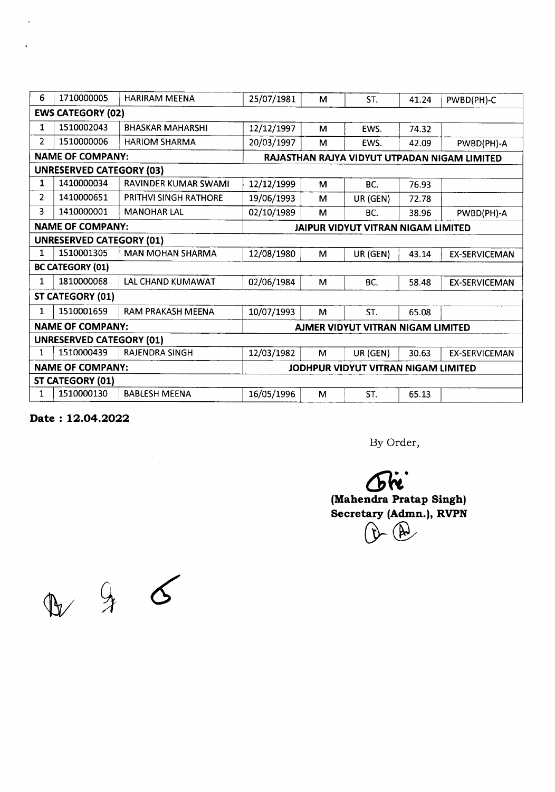| 6                               | 1710000005              | <b>HARIRAM MEENA</b>    | 25/07/1981                                   | м | ST.      | 41.24 | PWBD(PH)-C           |  |  |
|---------------------------------|-------------------------|-------------------------|----------------------------------------------|---|----------|-------|----------------------|--|--|
| <b>EWS CATEGORY (02)</b>        |                         |                         |                                              |   |          |       |                      |  |  |
| 1                               | 1510002043              | <b>BHASKAR MAHARSHI</b> | 12/12/1997                                   | м | EWS.     | 74.32 |                      |  |  |
| 2                               | 1510000006              | <b>HARIOM SHARMA</b>    | 20/03/1997                                   | M | EWS.     | 42.09 | PWBD(PH)-A           |  |  |
| <b>NAME OF COMPANY:</b>         |                         |                         | RAJASTHAN RAJYA VIDYUT UTPADAN NIGAM LIMITED |   |          |       |                      |  |  |
| <b>UNRESERVED CATEGORY (03)</b> |                         |                         |                                              |   |          |       |                      |  |  |
| 1                               | 1410000034              | RAVINDER KUMAR SWAMI    | 12/12/1999                                   | М | BC.      | 76.93 |                      |  |  |
| $\overline{2}$                  | 1410000651              | PRITHVI SINGH RATHORE   | 19/06/1993                                   | M | UR (GEN) | 72.78 |                      |  |  |
| 3                               | 1410000001              | <b>MANOHAR LAL</b>      | 02/10/1989                                   | м | BC.      | 38.96 | PWBD(PH)-A           |  |  |
|                                 | <b>NAME OF COMPANY:</b> |                         | JAIPUR VIDYUT VITRAN NIGAM LIMITED           |   |          |       |                      |  |  |
| <b>UNRESERVED CATEGORY (01)</b> |                         |                         |                                              |   |          |       |                      |  |  |
| 1                               | 1510001305              | <b>MAN MOHAN SHARMA</b> | 12/08/1980                                   | м | UR (GEN) | 43.14 | <b>EX-SERVICEMAN</b> |  |  |
| <b>BC CATEGORY (01)</b>         |                         |                         |                                              |   |          |       |                      |  |  |
| 1                               | 1810000068              | LAL CHAND KUMAWAT       | 02/06/1984                                   | M | BC.      | 58.48 | <b>EX-SERVICEMAN</b> |  |  |
| ST CATEGORY (01)                |                         |                         |                                              |   |          |       |                      |  |  |
| 1                               | 1510001659              | RAM PRAKASH MEENA       | 10/07/1993                                   | М | ST.      | 65.08 |                      |  |  |
| <b>NAME OF COMPANY:</b>         |                         |                         | AJMER VIDYUT VITRAN NIGAM LIMITED            |   |          |       |                      |  |  |
| <b>UNRESERVED CATEGORY (01)</b> |                         |                         |                                              |   |          |       |                      |  |  |
| 1                               | 1510000439              | <b>RAJENDRA SINGH</b>   | 12/03/1982                                   | M | UR (GEN) | 30.63 | <b>EX-SERVICEMAN</b> |  |  |
| <b>NAME OF COMPANY:</b>         |                         |                         | JODHPUR VIDYUT VITRAN NIGAM LIMITED          |   |          |       |                      |  |  |
| <b>ST CATEGORY (01)</b>         |                         |                         |                                              |   |          |       |                      |  |  |
| $\mathbf{1}$                    | 1510000130              | <b>BABLESH MEENA</b>    | 16/05/1996                                   | м | ST.      | 65.13 |                      |  |  |

**Date: 12.04.2022**

By Order,

**6ft. (Mahendra Pratap Singh) Secretary (Admn.), RVPN**  $-$  (A)

 $D 46$